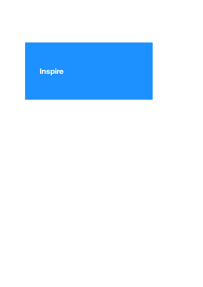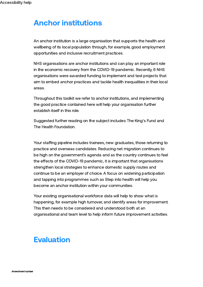## Anchor institutions

An anchor institution is a large organisation that supports the health and wellbeing of its local population through, for example, good employment opportunities and inclusive recruitment practices.

NHS organisations are anchor institutions and can play an important role in the economic recovery from the COVID-19 pandemic. Recently, 6 NHS [organisations](https://www.health.org.uk/news-and-comment/news/six-nhs-anchor-institutions-awarded-funding-to-progress-and-test-anchor-practice-and-generate-new-learning) were awarded funding to implement and test projects that aim to embed anchor practices and tackle health inequalities in their local areas.

Throughout this toolkit we refer to anchor institutions, and implementing the good practice contained here will help your organisation further establish itself in this role.

Suggested further reading on the subject includes The [King's](https://www.kingsfund.org.uk/publications/anchor-institutions-and-peoples-health) Fund and The Health [Foundation.](https://www.health.org.uk/publications/reports/building-healthier-communities-role-of-nhs-as-anchor-institution)

Your staffing pipeline includes trainees, new graduates, those returning to practice and overseas candidates. Reducing net migration continues to be high on the government's agenda and as the country continues to feel the effects of the COVID-19 pandemic, it is important that organisations strengthen local strategies to enhance domestic supply routes and continue to be an employer of choice. A focus on widening participation and tapping into programmes such as Step into [health](https://www.nhsemployers.org/stepintohealth) will help you become an anchor institution within your communities.

Your existing organisational workforce data will help to show what is happening, for example high turnover, and identify areas for improvement. This then needs to be considered and understood both at an organisational and team level to help inform future improvement activities.

## **Evaluation**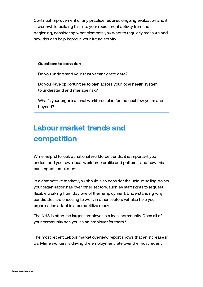Continual improvement of any practice requires ongoing evaluation and it is worthwhile building this into your recruitment activity from the beginning, considering what elements you want to regularly measure and how this can help improve your future activity.

#### Questions to consider:

Do you understand your trust vacancy rate data?

Do you have opportunities to plan across your local health system to understand and manage risk?

What's your organisational workforce plan for the next few years and beyond?

# Labour market trends and competition

While helpful to look at national workforce trends, it is important you understand your own local workforce profile and patterns, and how this can impact recruitment.

In a competitive market, you should also consider the unique selling points your organisation has over other sectors, such as staff rights to request flexible working from day one of their employment. [Understanding](https://www.nhsemployers.org/news/new-contractual-flexible-working-provisions) why candidates are choosing to work in other sectors will also help your organisation adapt in a competitive market.

The NHS is often the largest employer in a local community. Does all of your community see you as an employer for them?

The most recent Labour market [overview](https://www.ons.gov.uk/employmentandlabourmarket/peopleinwork/employmentandemployeetypes/bulletins/uklabourmarket/february2022#:~:text=Our%20most%20timely%20estimate%20of,0.1%20percentage%20points%20to%2021.2%25.) report shows that an increase in part-time workers is driving the employment rate over the most recent